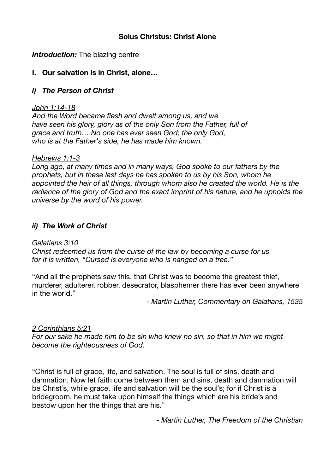# **Solus Christus: Christ Alone**

## *Introduction:* The blazing centre

## **I. Our salvation is in Christ, alone…**

## *i) The Person of Christ*

## *John 1:14-18*

*And the Word became flesh and dwelt among us, and we have seen his glory, glory as of the only Son from the Father, full of grace and truth… No one has ever seen God; the only God, who is at the Father's side, he has made him known.*

### *Hebrews 1:1-3*

*Long ago, at many times and in many ways, God spoke to our fathers by the prophets, but in these last days he has spoken to us by his Son, whom he appointed the heir of all things, through whom also he created the world. He is the radiance of the glory of God and the exact imprint of his nature, and he upholds the universe by the word of his power.* 

## *ii) The Work of Christ*

### *Galatians 3:10*

*Christ redeemed us from the curse of the law by becoming a curse for us for it is written, "Cursed is everyone who is hanged on a tree."*

"And all the prophets saw this, that Christ was to become the greatest thief, murderer, adulterer, robber, desecrator, blasphemer there has ever been anywhere in the world."

*- Martin Luther, Commentary on Galatians, 1535* 

### *2 Corinthians 5:21*

*For our sake he made him to be sin who knew no sin, so that in him we might become the righteousness of God.*

"Christ is full of grace, life, and salvation. The soul is full of sins, death and damnation. Now let faith come between them and sins, death and damnation will be Christ's, while grace, life and salvation will be the soul's; for if Christ is a bridegroom, he must take upon himself the things which are his bride's and bestow upon her the things that are his."

*- Martin Luther, The Freedom of the Christian*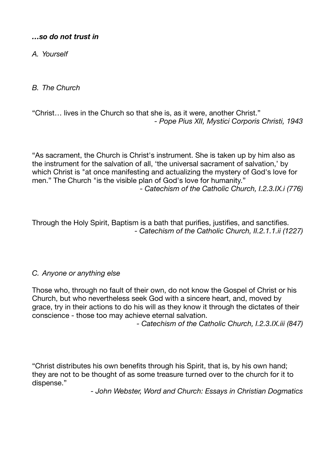## *…so do not trust in*

*A. Yourself* 

*B. The Church* 

"Christ… lives in the Church so that she is, as it were, another Christ." *- Pope Pius XII, Mystici Corporis Christi, 1943* 

"As sacrament, the Church is Christ's instrument. She is taken up by him also as the instrument for the salvation of all, 'the universal sacrament of salvation,' by which Christ is "at once manifesting and actualizing the mystery of God's love for men." The Church "is the visible plan of God's love for humanity." *- Catechism of the Catholic Church, I.2.3.IX.i (776)*

Through the Holy Spirit, Baptism is a bath that purifies, justifies, and sanctifies. *- Catechism of the Catholic Church, II.2.1.1.ii (1227)* 

# *C. Anyone or anything else*

Those who, through no fault of their own, do not know the Gospel of Christ or his Church, but who nevertheless seek God with a sincere heart, and, moved by grace, try in their actions to do his will as they know it through the dictates of their conscience - those too may achieve eternal salvation.

*- Catechism of the Catholic Church, I.2.3.IX.iii (847)*

"Christ distributes his own benefits through his Spirit, that is, by his own hand; they are not to be thought of as some treasure turned over to the church for it to dispense."

*- John Webster, Word and Church: Essays in Christian Dogmatics*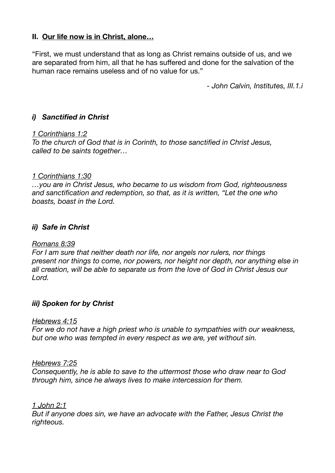# **II. Our life now is in Christ, alone…**

"First, we must understand that as long as Christ remains outside of us, and we are separated from him, all that he has suffered and done for the salvation of the human race remains useless and of no value for us."

*- John Calvin, Institutes, III.1.i* 

# *i) Sanctified in Christ*

### *1 Corinthians 1:2*

*To the church of God that is in Corinth, to those sanctified in Christ Jesus, called to be saints together…* 

## *1 Corinthians 1:30*

*…you are in Christ Jesus, who became to us wisdom from God, righteousness and sanctification and redemption, so that, as it is written, "Let the one who boasts, boast in the Lord.*

# *ii) Safe in Christ*

### *Romans 8:39*

*For I am sure that neither death nor life, nor angels nor rulers, nor things present nor things to come, nor powers, nor height nor depth, nor anything else in all creation, will be able to separate us from the love of God in Christ Jesus our Lord.* 

# *iii) Spoken for by Christ*

### *Hebrews 4:15*

*For we do not have a high priest who is unable to sympathies with our weakness, but one who was tempted in every respect as we are, yet without sin.* 

# *Hebrews 7:25*

*Consequently, he is able to save to the uttermost those who draw near to God through him, since he always lives to make intercession for them.*

# *1 John 2:1*

*But if anyone does sin, we have an advocate with the Father, Jesus Christ the righteous.*